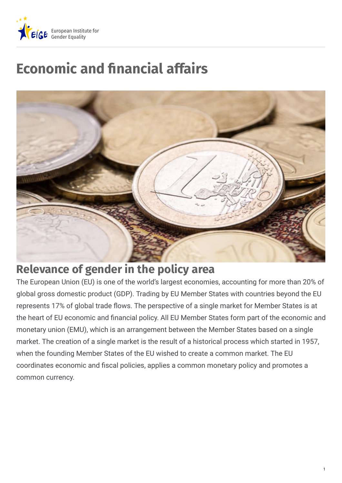

# **Economic and nancial affairs**



## **Relevance of gender in the policy area**

The European Union (EU) is one of the world's largest economies, accounting for more than 20% of global gross domestic product (GDP). Trading by EU Member States with countries beyond the EU represents 17% of global trade flows. The perspective of a single market for Member States is at the heart of EU economic and financial policy. All EU Member States form part of the economic and monetary union (EMU), which is an arrangement between the Member States based on a single market. The creation of a single market is the result of a historical process which started in 1957, when the founding Member States of the EU wished to create a common market. The EU coordinates economic and fiscal policies, applies a common monetary policy and promotes a common currency.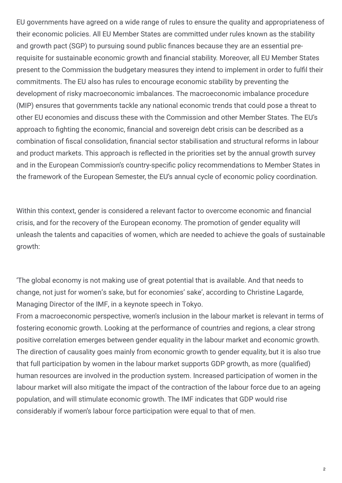EU governments have agreed on a wide range of rules to ensure the quality and appropriateness of their economic policies. All EU Member States are committed under rules known as the stability and growth pact (SGP) to pursuing sound public finances because they are an essential prerequisite for sustainable economic growth and financial stability. Moreover, all EU Member States present to the Commission the budgetary measures they intend to implement in order to fulfil their commitments. The EU also has rules to encourage economic stability by preventing the development of risky macroeconomic imbalances. The macroeconomic imbalance procedure (MIP) ensures that governments tackle any national economic trends that could pose a threat to other EU economies and discuss these with the Commission and other Member States. The EU's approach to fighting the economic, financial and sovereign debt crisis can be described as a combination of fiscal consolidation, financial sector stabilisation and structural reforms in labour and product markets. This approach is reflected in the priorities set by the annual growth survey and in the European Commission's country-specific policy recommendations to Member States in the framework of the European Semester, the EU's annual cycle of economic policy coordination.

Within this context, gender is considered a relevant factor to overcome economic and financial crisis, and for the recovery of the European economy. The promotion of gender equality will unleash the talents and capacities of women, which are needed to achieve the goals of sustainable growth:

'The global economy is not making use of great potential that is available. And that needs to change, not just for women's sake, but for economies' sake', according to Christine Lagarde, Managing Director of the IMF, in a keynote speech in Tokyo.

From a macroeconomic perspective, women's inclusion in the labour market is relevant in terms of fostering economic growth. Looking at the performance of countries and regions, a clear strong positive correlation emerges between gender equality in the labour market and economic growth. The direction of causality goes mainly from economic growth to gender equality, but it is also true that full participation by women in the labour market supports GDP growth, as more (qualified) human resources are involved in the production system. Increased participation of women in the labour market will also mitigate the impact of the contraction of the labour force due to an ageing population, and will stimulate economic growth. The IMF indicates that GDP would rise considerably if women's labour force participation were equal to that of men.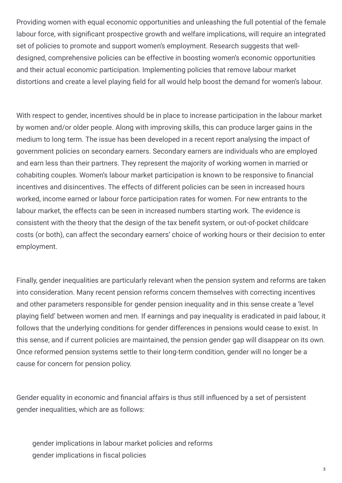Providing women with equal economic opportunities and unleashing the full potential of the female labour force, with significant prospective growth and welfare implications, will require an integrated set of policies to promote and support women's employment. Research suggests that welldesigned, comprehensive policies can be effective in boosting women's economic opportunities and their actual economic participation. Implementing policies that remove labour market distortions and create a level playing field for all would help boost the demand for women's labour.

With respect to gender, incentives should be in place to increase participation in the labour market by women and/or older people. Along with improving skills, this can produce larger gains in the medium to long term. The issue has been developed in a recent report analysing the impact of government policies on secondary earners. Secondary earners are individuals who are employed and earn less than their partners. They represent the majority of working women in married or cohabiting couples. Women's labour market participation is known to be responsive to financial incentives and disincentives. The effects of different policies can be seen in increased hours worked, income earned or labour force participation rates for women. For new entrants to the labour market, the effects can be seen in increased numbers starting work. The evidence is consistent with the theory that the design of the tax benefit system, or out-of-pocket childcare costs (or both), can affect the secondary earners' choice of working hours or their decision to enter employment.

Finally, gender inequalities are particularly relevant when the pension system and reforms are taken into consideration. Many recent pension reforms concern themselves with correcting incentives and other parameters responsible for gender pension inequality and in this sense create a 'level playing field' between women and men. If earnings and pay inequality is eradicated in paid labour, it follows that the underlying conditions for gender differences in pensions would cease to exist. In this sense, and if current policies are maintained, the pension gender gap will disappear on its own. Once reformed pension systems settle to their long-term condition, gender will no longer be a cause for concern for pension policy.

Gender equality in economic and financial affairs is thus still influenced by a set of persistent gender inequalities, which are as follows:

gender implications in labour market policies and reforms gender implications in fiscal policies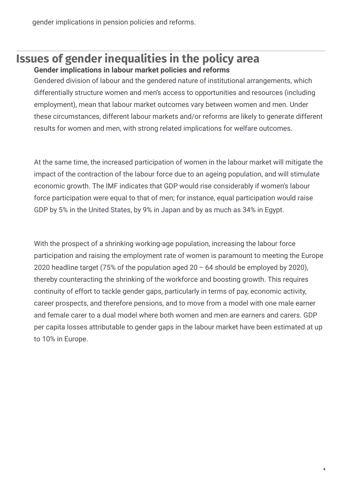gender implications in pension policies and reforms.

#### **Issues of gender inequalities in the policy area Gender implications in labour market policies and reforms**

Gendered division of labour and the gendered nature of institutional arrangements, which differentially structure women and men's access to opportunities and resources (including employment), mean that labour market outcomes vary between women and men. Under these circumstances, different labour markets and/or reforms are likely to generate different results for women and men, with strong related implications for welfare outcomes.

At the same time, the increased participation of women in the labour market will mitigate the impact of the contraction of the labour force due to an ageing population, and will stimulate economic growth. The IMF indicates that GDP would rise considerably if women's labour force participation were equal to that of men; for instance, equal participation would raise GDP by 5% in the United States, by 9% in Japan and by as much as 34% in Egypt.

With the prospect of a shrinking working-age population, increasing the labour force participation and raising the employment rate of women is paramount to meeting the Europe 2020 headline target (75% of the population aged  $20 - 64$  should be employed by 2020), thereby counteracting the shrinking of the workforce and boosting growth. This requires continuity of effort to tackle gender gaps, particularly in terms of pay, economic activity, career prospects, and therefore pensions, and to move from a model with one male earner and female carer to a dual model where both women and men are earners and carers. GDP per capita losses attributable to gender gaps in the labour market have been estimated at up to 10% in Europe.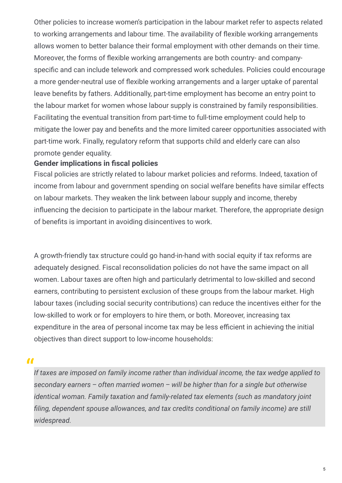Other policies to increase women's participation in the labour market refer to aspects related to working arrangements and labour time. The availability of flexible working arrangements allows women to better balance their formal employment with other demands on their time. Moreover, the forms of flexible working arrangements are both country- and companyspecific and can include telework and compressed work schedules. Policies could encourage a more gender-neutral use of flexible working arrangements and a larger uptake of parental leave benefits by fathers. Additionally, part-time employment has become an entry point to the labour market for women whose labour supply is constrained by family responsibilities. Facilitating the eventual transition from part-time to full-time employment could help to mitigate the lower pay and benefits and the more limited career opportunities associated with part-time work. Finally, regulatory reform that supports child and elderly care can also promote gender equality.

#### **Gender implications** in fiscal policies

Fiscal policies are strictly related to labour market policies and reforms. Indeed, taxation of income from labour and government spending on social welfare benefits have similar effects on labour markets. They weaken the link between labour supply and income, thereby influencing the decision to participate in the labour market. Therefore, the appropriate design of benefits is important in avoiding disincentives to work.

A growth-friendly tax structure could go hand-in-hand with social equity if tax reforms are adequately designed. Fiscal reconsolidation policies do not have the same impact on all women. Labour taxes are often high and particularly detrimental to low-skilled and second earners, contributing to persistent exclusion of these groups from the labour market. High labour taxes (including social security contributions) can reduce the incentives either for the low-skilled to work or for employers to hire them, or both. Moreover, increasing tax expenditure in the area of personal income tax may be less efficient in achieving the initial objectives than direct support to low-income households:

#### $\bullet$

*If taxes are imposed on family income rather than individual income, the tax wedge applied to secondary earners – often married women – will be higher than for a single but otherwise identical woman. Family taxation and family-related tax elements (such as mandatory joint !ling, dependent spouse allowances, and tax credits conditional on family income) are still widespread.*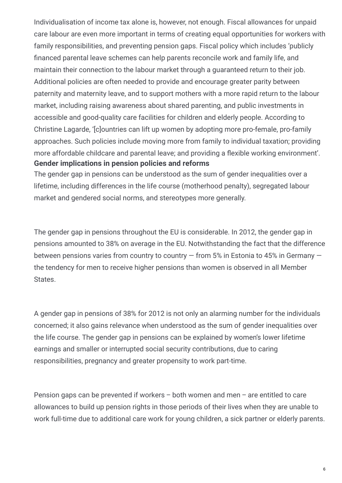Individualisation of income tax alone is, however, not enough. Fiscal allowances for unpaid care labour are even more important in terms of creating equal opportunities for workers with family responsibilities, and preventing pension gaps. Fiscal policy which includes 'publicly financed parental leave schemes can help parents reconcile work and family life, and maintain their connection to the labour market through a guaranteed return to their job. Additional policies are often needed to provide and encourage greater parity between paternity and maternity leave, and to support mothers with a more rapid return to the labour market, including raising awareness about shared parenting, and public investments in accessible and good-quality care facilities for children and elderly people. According to Christine Lagarde, '[c]ountries can lift up women by adopting more pro-female, pro-family approaches. Such policies include moving more from family to individual taxation; providing more affordable childcare and parental leave; and providing a flexible working environment'. **Gender implications in pension policies and reforms**

The gender gap in pensions can be understood as the sum of gender inequalities over a lifetime, including differences in the life course (motherhood penalty), segregated labour market and gendered social norms, and stereotypes more generally.

The gender gap in pensions throughout the EU is considerable. In 2012, the gender gap in pensions amounted to 38% on average in the EU. Notwithstanding the fact that the difference between pensions varies from country to country  $-$  from 5% in Estonia to 45% in Germany  $$ the tendency for men to receive higher pensions than women is observed in all Member States.

A gender gap in pensions of 38% for 2012 is not only an alarming number for the individuals concerned; it also gains relevance when understood as the sum of gender inequalities over the life course. The gender gap in pensions can be explained by women's lower lifetime earnings and smaller or interrupted social security contributions, due to caring responsibilities, pregnancy and greater propensity to work part-time.

Pension gaps can be prevented if workers – both women and men – are entitled to care allowances to build up pension rights in those periods of their lives when they are unable to work full-time due to additional care work for young children, a sick partner or elderly parents.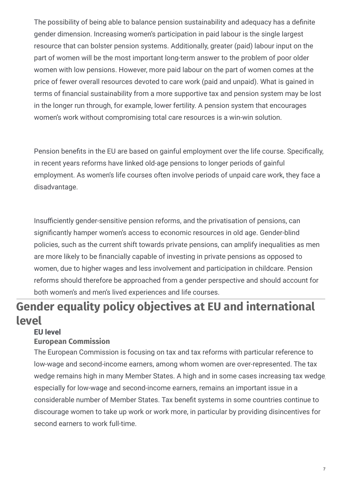The possibility of being able to balance pension sustainability and adequacy has a definite gender dimension. Increasing women's participation in paid labour is the single largest resource that can bolster pension systems. Additionally, greater (paid) labour input on the part of women will be the most important long-term answer to the problem of poor older women with low pensions. However, more paid labour on the part of women comes at the price of fewer overall resources devoted to care work (paid and unpaid). What is gained in terms of financial sustainability from a more supportive tax and pension system may be lost in the longer run through, for example, lower fertility. A pension system that encourages women's work without compromising total care resources is a win-win solution.

Pension benefits in the EU are based on gainful employment over the life course. Specifically, in recent years reforms have linked old-age pensions to longer periods of gainful employment. As women's life courses often involve periods of unpaid care work, they face a disadvantage.

Insufficiently gender-sensitive pension reforms, and the privatisation of pensions, can significantly hamper women's access to economic resources in old age. Gender-blind policies, such as the current shift towards private pensions, can amplify inequalities as men are more likely to be financially capable of investing in private pensions as opposed to women, due to higher wages and less involvement and participation in childcare. Pension reforms should therefore be approached from a gender perspective and should account for both women's and men's lived experiences and life courses.

## **Gender equality policy objectives at EU and international level**

#### **European Commission EU level**

The European Commission is focusing on tax and tax reforms with particular reference to low-wage and second-income earners, among whom women are over-represented. The tax wedge remains high in many Member States. A high and in some cases increasing tax wedge, especially for low-wage and second-income earners, remains an important issue in a considerable number of Member States. Tax benefit systems in some countries continue to discourage women to take up work or work more, in particular by providing disincentives for second earners to work full-time.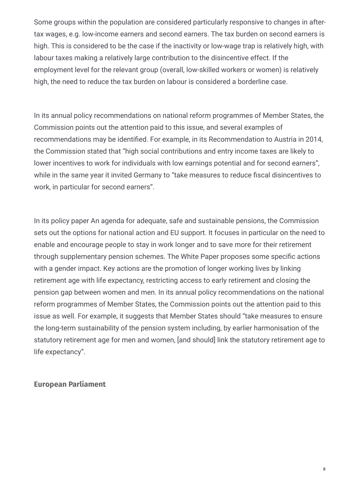Some groups within the population are considered particularly responsive to changes in aftertax wages, e.g. low-income earners and second earners. The tax burden on second earners is high. This is considered to be the case if the inactivity or low-wage trap is relatively high, with labour taxes making a relatively large contribution to the disincentive effect. If the employment level for the relevant group (overall, low-skilled workers or women) is relatively high, the need to reduce the tax burden on labour is considered a borderline case.

In its annual policy recommendations on national reform programmes of Member States, the Commission points out the attention paid to this issue, and several examples of recommendations may be identified. For example, in its Recommendation to Austria in 2014, the Commission stated that "high social contributions and entry income taxes are likely to lower incentives to work for individuals with low earnings potential and for second earners", while in the same year it invited Germany to "take measures to reduce fiscal disincentives to work, in particular for second earners".

In its policy paper An agenda for adequate, safe and sustainable pensions, the Commission sets out the options for national action and EU support. It focuses in particular on the need to enable and encourage people to stay in work longer and to save more for their retirement through supplementary pension schemes. The White Paper proposes some specific actions with a gender impact. Key actions are the promotion of longer working lives by linking retirement age with life expectancy, restricting access to early retirement and closing the pension gap between women and men. In its annual policy recommendations on the national reform programmes of Member States, the Commission points out the attention paid to this issue as well. For example, it suggests that Member States should "take measures to ensure the long-term sustainability of the pension system including, by earlier harmonisation of the statutory retirement age for men and women, [and should] link the statutory retirement age to life expectancy".

#### **European Parliament**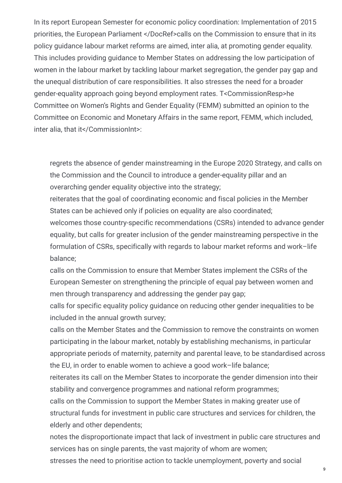In its report European Semester for economic policy coordination: Implementation of 2015 priorities, the European Parliament </DocRef>calls on the Commission to ensure that in its policy guidance labour market reforms are aimed, inter alia, at promoting gender equality. This includes providing guidance to Member States on addressing the low participation of women in the labour market by tackling labour market segregation, the gender pay gap and the unequal distribution of care responsibilities. It also stresses the need for a broader gender-equality approach going beyond employment rates. T<CommissionResp>he Committee on Women's Rights and Gender Equality (FEMM) submitted an opinion to the Committee on Economic and Monetary Affairs in the same report, FEMM, which included, inter alia, that it</CommissionInt>:

regrets the absence of gender mainstreaming in the Europe 2020 Strategy, and calls on the Commission and the Council to introduce a gender-equality pillar and an overarching gender equality objective into the strategy;

reiterates that the goal of coordinating economic and fiscal policies in the Member States can be achieved only if policies on equality are also coordinated;

welcomes those country-specific recommendations (CSRs) intended to advance gender equality, but calls for greater inclusion of the gender mainstreaming perspective in the formulation of CSRs, specifically with regards to labour market reforms and work–life balance;

calls on the Commission to ensure that Member States implement the CSRs of the European Semester on strengthening the principle of equal pay between women and men through transparency and addressing the gender pay gap;

calls for specific equality policy guidance on reducing other gender inequalities to be included in the annual growth survey;

calls on the Member States and the Commission to remove the constraints on women participating in the labour market, notably by establishing mechanisms, in particular appropriate periods of maternity, paternity and parental leave, to be standardised across the EU, in order to enable women to achieve a good work–life balance;

reiterates its call on the Member States to incorporate the gender dimension into their stability and convergence programmes and national reform programmes;

calls on the Commission to support the Member States in making greater use of structural funds for investment in public care structures and services for children, the elderly and other dependents;

notes the disproportionate impact that lack of investment in public care structures and services has on single parents, the vast majority of whom are women;

stresses the need to prioritise action to tackle unemployment, poverty and social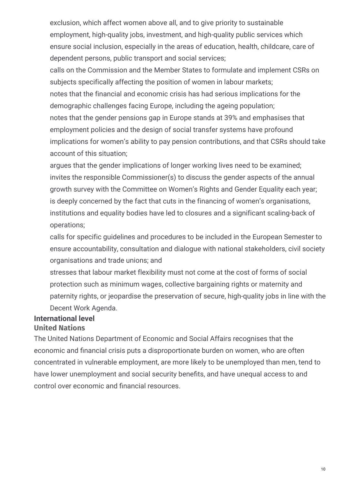exclusion, which affect women above all, and to give priority to sustainable employment, high-quality jobs, investment, and high-quality public services which ensure social inclusion, especially in the areas of education, health, childcare, care of dependent persons, public transport and social services;

calls on the Commission and the Member States to formulate and implement CSRs on subjects specifically affecting the position of women in labour markets; notes that the financial and economic crisis has had serious implications for the demographic challenges facing Europe, including the ageing population; notes that the gender pensions gap in Europe stands at 39% and emphasises that employment policies and the design of social transfer systems have profound implications for women's ability to pay pension contributions, and that CSRs should take account of this situation;

argues that the gender implications of longer working lives need to be examined; invites the responsible Commissioner(s) to discuss the gender aspects of the annual growth survey with the Committee on Women's Rights and Gender Equality each year; is deeply concerned by the fact that cuts in the financing of women's organisations, institutions and equality bodies have led to closures and a significant scaling-back of operations;

calls for specific guidelines and procedures to be included in the European Semester to ensure accountability, consultation and dialogue with national stakeholders, civil society organisations and trade unions; and

stresses that labour market flexibility must not come at the cost of forms of social protection such as minimum wages, collective bargaining rights or maternity and paternity rights, or jeopardise the preservation of secure, high-quality jobs in line with the Decent Work Agenda.

#### **United Nations International level**

The United Nations Department of Economic and Social Affairs recognises that the economic and financial crisis puts a disproportionate burden on women, who are often concentrated in vulnerable employment, are more likely to be unemployed than men, tend to have lower unemployment and social security benefits, and have unequal access to and control over economic and financial resources.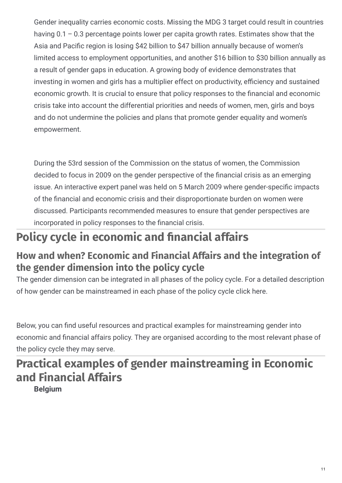Gender inequality carries economic costs. Missing the MDG 3 target could result in countries having 0.1 – 0.3 percentage points lower per capita growth rates. Estimates show that the Asia and Pacific region is losing \$42 billion to \$47 billion annually because of women's limited access to employment opportunities, and another \$16 billion to \$30 billion annually as a result of gender gaps in education. A growing body of evidence demonstrates that investing in women and girls has a multiplier effect on productivity, efficiency and sustained economic growth. It is crucial to ensure that policy responses to the financial and economic crisis take into account the differential priorities and needs of women, men, girls and boys and do not undermine the policies and plans that promote gender equality and women's empowerment.

During the 53rd session of the Commission on the status of women, the Commission decided to focus in 2009 on the gender perspective of the financial crisis as an emerging issue. An interactive expert panel was held on 5 March 2009 where gender-specific impacts of the financial and economic crisis and their disproportionate burden on women were discussed. Participants recommended measures to ensure that gender perspectives are incorporated in policy responses to the financial crisis.

## **Policy cycle in economic and nancial affairs**

### **How and when? Economic and Financial Affairs and the integration of the gender dimension into the policy cycle**

The gender dimension can be integrated in all phases of the policy cycle. For a detailed description of how gender can be mainstreamed in each phase of the policy cycle click here.

Below, you can find useful resources and practical examples for mainstreaming gender into economic and financial affairs policy. They are organised according to the most relevant phase of the policy cycle they may serve.

## **Practical examples of gender mainstreaming in Economic and Financial Affairs**

**Belgium**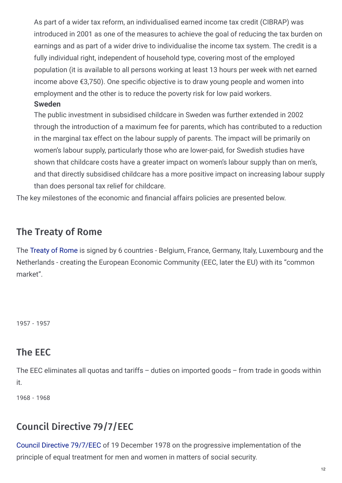As part of a wider tax reform, an individualised earned income tax credit (CIBRAP) was introduced in 2001 as one of the measures to achieve the goal of reducing the tax burden on earnings and as part of a wider drive to individualise the income tax system. The credit is a fully individual right, independent of household type, covering most of the employed population (it is available to all persons working at least 13 hours per week with net earned income above  $\epsilon$ 3,750). One specific objective is to draw young people and women into employment and the other is to reduce the poverty risk for low paid workers.

#### **Sweden**

The public investment in subsidised childcare in Sweden was further extended in 2002 through the introduction of a maximum fee for parents, which has contributed to a reduction in the marginal tax effect on the labour supply of parents. The impact will be primarily on women's labour supply, particularly those who are lower-paid, for Swedish studies have shown that childcare costs have a greater impact on women's labour supply than on men's, and that directly subsidised childcare has a more positive impact on increasing labour supply than does personal tax relief for childcare.

The key milestones of the economic and financial affairs policies are presented below.

#### The Treaty of Rome

The [Treaty](http://eur-lex.europa.eu/resource.html?uri=cellar:41f89a28-1fc6-4c92-b1c8-03327d1b1ecc.0007.02 /DOC_1&format=PDF) of Rome is signed by 6 countries - Belgium, France, Germany, Italy, Luxembourg and the Netherlands - creating the European Economic Community (EEC, later the EU) with its "common market".

1957 - 1957

#### The EEC

The EEC eliminates all quotas and tariffs – duties on imported goods – from trade in goods within it.

1968 - 1968

### Council Directive 79/7/EEC

Council Directive [79/7/EEC](http://eur-lex.europa.eu/legal-content/EN/TXT/PDF/?uri=CELEX:31979L0007&from=EN) of 19 December 1978 on the progressive implementation of the principle of equal treatment for men and women in matters of social security.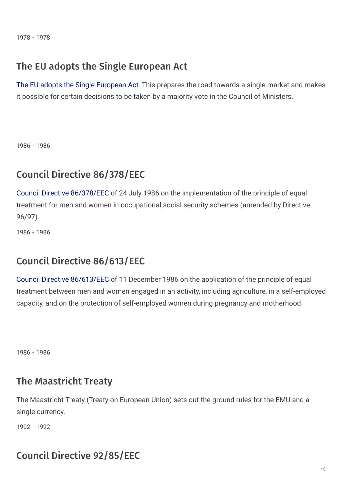1978 - 1978

#### The EU adopts the Single European Act

The EU adopts the Single [European](http://eur-lex.europa.eu/legal-content/EN/TXT/?uri=URISERV:xy0027) Act. This prepares the road towards a single market and makes it possible for certain decisions to be taken by a majority vote in the Council of Ministers.

1986 - 1986

#### Council Directive 86/378/EEC

Council Directive [86/378/EEC](http://eur-lex.europa.eu/legal-content/EN/TXT/PDF/?uri=CELEX:31986L0378 &from=EN) of 24 July 1986 on the implementation of the principle of equal treatment for men and women in occupational social security schemes (amended by Directive 96/97).

1986 - 1986

### Council Directive 86/613/EEC

Council Directive [86/613/EEC](http://eur-lex.europa.eu/legal-content/EN/TXT/PDF/?uri=CELEX:31986L0613&from=EN) of 11 December 1986 on the application of the principle of equal treatment between men and women engaged in an activity, including agriculture, in a self-employed capacity, and on the protection of self-employed women during pregnancy and motherhood.

1986 - 1986

#### The Maastricht Treaty

The Maastricht Treaty (Treaty on European Union) sets out the ground rules for the EMU and a single currency.

1992 - 1992

### Council Directive 92/85/EEC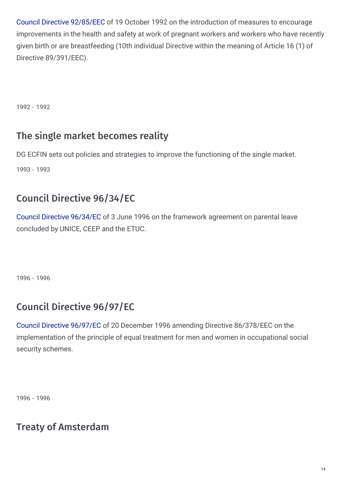Council Directive [92/85/EEC](http://eur-lex.europa.eu/legal-content/EN/TXT/PDF/?uri=CELEX:31992L0085&from=EN) of 19 October 1992 on the introduction of measures to encourage improvements in the health and safety at work of pregnant workers and workers who have recently given birth or are breastfeeding (10th individual Directive within the meaning of Article 16 (1) of Directive 89/391/EEC).

1992 - 1992

#### The single market becomes reality

DG ECFIN sets out policies and strategies to improve the functioning of the single market. 1993 - 1993

### Council Directive 96/34/EC

Council Directive [96/34/EC](http://eur-lex.europa.eu/legal-content/EN/TXT/PDF/?uri=CELEX:31996L0034&from=EN) of 3 June 1996 on the framework agreement on parental leave concluded by UNICE, CEEP and the ETUC.

1996 - 1996

### Council Directive 96/97/EC

Council Directive [96/97/EC](http://eur-lex.europa.eu/LexUriServ/LexUriServ.do?uri=CELEX:31996L0097:EN:HTML) of 20 December 1996 amending Directive 86/378/EEC on the implementation of the principle of equal treatment for men and women in occupational social security schemes.

1996 - 1996

#### Treaty of Amsterdam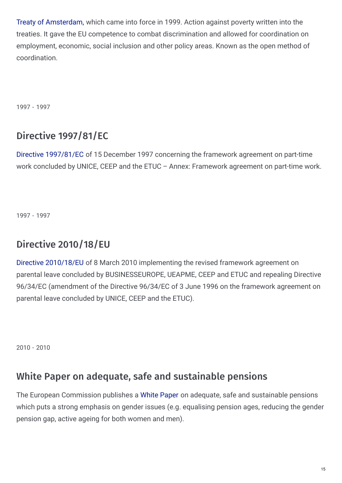Treaty of [Amsterdam,](http://eur-lex.europa.eu/legal-content/EN/TXT/PDF/?uri=OJ:C:1997:340:FULL&from=EN) which came into force in 1999. Action against poverty written into the treaties. It gave the EU competence to combat discrimination and allowed for coordination on employment, economic, social inclusion and other policy areas. Known as the open method of coordination.

1997 - 1997

### Directive 1997/81/EC

Directive [1997/81/EC](http://eur-lex.europa.eu/LexUriServ/LexUriServ.do?uri=CELEX:31997L0081:EN:HTML) of 15 December 1997 concerning the framework agreement on part-time work concluded by UNICE, CEEP and the ETUC – Annex: Framework agreement on part-time work.

1997 - 1997

### Directive 2010/18/EU

Directive [2010/18/EU](http://eur-lex.europa.eu/LexUriServ/LexUriServ.do?uri=OJ:L:2010:068:0013:0020:en:PDF) of 8 March 2010 implementing the revised framework agreement on parental leave concluded by BUSINESSEUROPE, UEAPME, CEEP and ETUC and repealing Directive 96/34/EC (amendment of the Directive 96/34/EC of 3 June 1996 on the framework agreement on parental leave concluded by UNICE, CEEP and the ETUC).

2010 - 2010

#### White Paper on adequate, safe and sustainable pensions

The European Commission publishes a White [Paper](http://eur-lex.europa.eu/LexUriServ/LexUriServ.do?uri=COM:2012:0055:FIN:EN:PDF) on adequate, safe and sustainable pensions which puts a strong emphasis on gender issues (e.g. equalising pension ages, reducing the gender pension gap, active ageing for both women and men).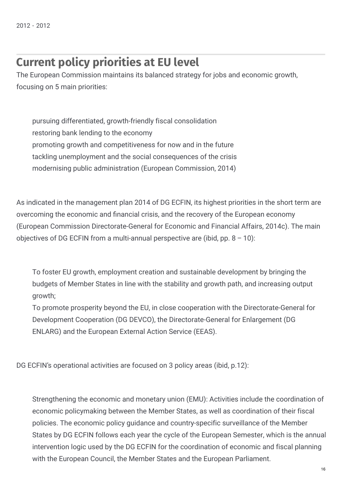## **Current policy priorities at EU level**

The European Commission maintains its balanced strategy for jobs and economic growth, focusing on 5 main priorities:

pursuing differentiated, growth-friendly fiscal consolidation restoring bank lending to the economy promoting growth and competitiveness for now and in the future tackling unemployment and the social consequences of the crisis modernising public administration (European Commission, 2014)

As indicated in the management plan 2014 of DG ECFIN, its highest priorities in the short term are overcoming the economic and financial crisis, and the recovery of the European economy (European Commission Directorate-General for Economic and Financial Affairs, 2014c). The main objectives of DG ECFIN from a multi-annual perspective are (ibid, pp.  $8 - 10$ ):

To foster EU growth, employment creation and sustainable development by bringing the budgets of Member States in line with the stability and growth path, and increasing output growth;

To promote prosperity beyond the EU, in close cooperation with the Directorate-General for Development Cooperation (DG DEVCO), the Directorate-General for Enlargement (DG ENLARG) and the European External Action Service (EEAS).

DG ECFIN's operational activities are focused on 3 policy areas (ibid, p.12):

Strengthening the economic and monetary union (EMU): Activities include the coordination of economic policymaking between the Member States, as well as coordination of their fiscal policies. The economic policy guidance and country-specific surveillance of the Member States by DG ECFIN follows each year the cycle of the European Semester, which is the annual intervention logic used by the DG ECFIN for the coordination of economic and fiscal planning with the European Council, the Member States and the European Parliament.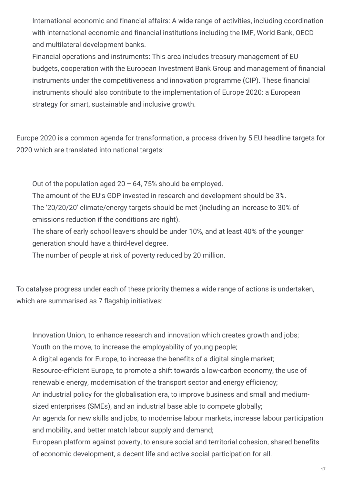International economic and financial affairs: A wide range of activities, including coordination with international economic and financial institutions including the IMF, World Bank, OECD and multilateral development banks.

Financial operations and instruments: This area includes treasury management of EU budgets, cooperation with the European Investment Bank Group and management of financial instruments under the competitiveness and innovation programme (CIP). These financial instruments should also contribute to the implementation of Europe 2020: a European strategy for smart, sustainable and inclusive growth.

Europe 2020 is a common agenda for transformation, a process driven by 5 EU headline targets for 2020 which are translated into national targets:

Out of the population aged  $20 - 64$ , 75% should be employed.

The amount of the EU's GDP invested in research and development should be 3%. The '20/20/20' climate/energy targets should be met (including an increase to 30% of emissions reduction if the conditions are right).

The share of early school leavers should be under 10%, and at least 40% of the younger generation should have a third-level degree.

The number of people at risk of poverty reduced by 20 million.

To catalyse progress under each of these priority themes a wide range of actions is undertaken, which are summarised as 7 flagship initiatives:

Innovation Union, to enhance research and innovation which creates growth and jobs;

Youth on the move, to increase the employability of young people;

A digital agenda for Europe, to increase the benefits of a digital single market;

Resource-efficient Europe, to promote a shift towards a low-carbon economy, the use of renewable energy, modernisation of the transport sector and energy efficiency;

An industrial policy for the globalisation era, to improve business and small and mediumsized enterprises (SMEs), and an industrial base able to compete globally;

An agenda for new skills and jobs, to modernise labour markets, increase labour participation and mobility, and better match labour supply and demand;

European platform against poverty, to ensure social and territorial cohesion, shared benefits of economic development, a decent life and active social participation for all.